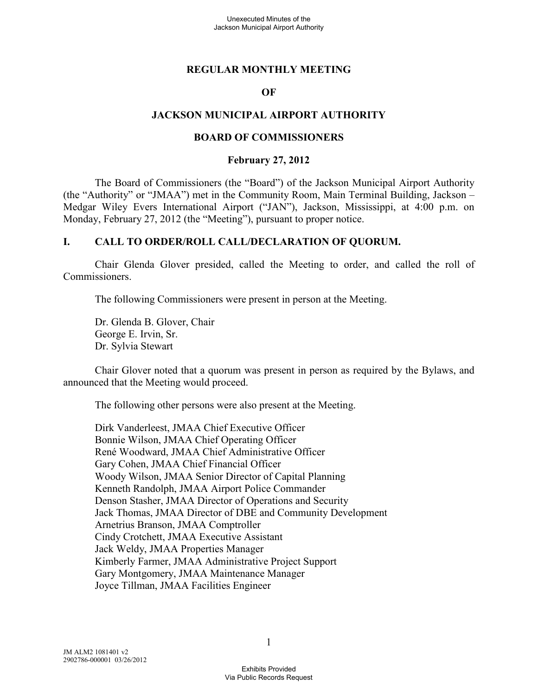## **REGULAR MONTHLY MEETING**

#### **OF**

#### **JACKSON MUNICIPAL AIRPORT AUTHORITY**

#### **BOARD OF COMMISSIONERS**

#### **February 27, 2012**

The Board of Commissioners (the "Board") of the Jackson Municipal Airport Authority (the "Authority" or "JMAA") met in the Community Room, Main Terminal Building, Jackson – Medgar Wiley Evers International Airport ("JAN"), Jackson, Mississippi, at 4:00 p.m. on Monday, February 27, 2012 (the "Meeting"), pursuant to proper notice.

### **I. CALL TO ORDER/ROLL CALL/DECLARATION OF QUORUM.**

Chair Glenda Glover presided, called the Meeting to order, and called the roll of Commissioners.

The following Commissioners were present in person at the Meeting.

Dr. Glenda B. Glover, Chair George E. Irvin, Sr. Dr. Sylvia Stewart

Chair Glover noted that a quorum was present in person as required by the Bylaws, and announced that the Meeting would proceed.

The following other persons were also present at the Meeting.

Dirk Vanderleest, JMAA Chief Executive Officer Bonnie Wilson, JMAA Chief Operating Officer René Woodward, JMAA Chief Administrative Officer Gary Cohen, JMAA Chief Financial Officer Woody Wilson, JMAA Senior Director of Capital Planning Kenneth Randolph, JMAA Airport Police Commander Denson Stasher, JMAA Director of Operations and Security Jack Thomas, JMAA Director of DBE and Community Development Arnetrius Branson, JMAA Comptroller Cindy Crotchett, JMAA Executive Assistant Jack Weldy, JMAA Properties Manager Kimberly Farmer, JMAA Administrative Project Support Gary Montgomery, JMAA Maintenance Manager Joyce Tillman, JMAA Facilities Engineer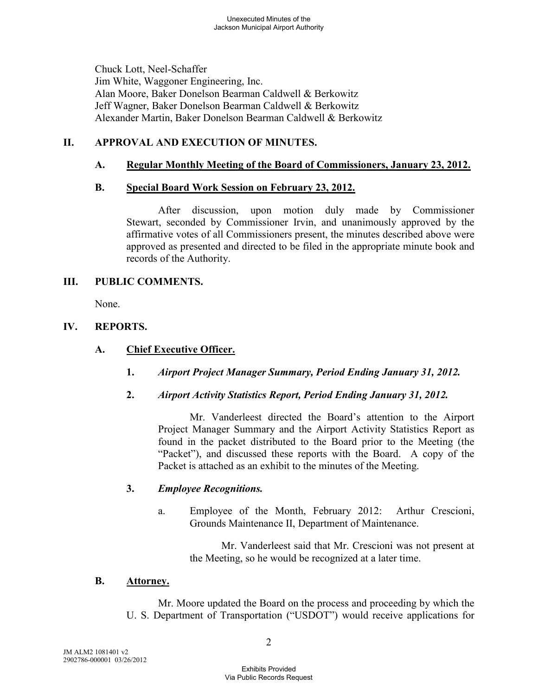Chuck Lott, Neel-Schaffer Jim White, Waggoner Engineering, Inc. Alan Moore, Baker Donelson Bearman Caldwell & Berkowitz Jeff Wagner, Baker Donelson Bearman Caldwell & Berkowitz Alexander Martin, Baker Donelson Bearman Caldwell & Berkowitz

# **II. APPROVAL AND EXECUTION OF MINUTES.**

# **A. Regular Monthly Meeting of the Board of Commissioners, January 23, 2012.**

## **B. Special Board Work Session on February 23, 2012.**

After discussion, upon motion duly made by Commissioner Stewart, seconded by Commissioner Irvin, and unanimously approved by the affirmative votes of all Commissioners present, the minutes described above were approved as presented and directed to be filed in the appropriate minute book and records of the Authority.

### **III. PUBLIC COMMENTS.**

None.

# **IV. REPORTS.**

# **A. Chief Executive Officer.**

- **1.** *Airport Project Manager Summary, Period Ending January 31, 2012.*
- **2.** *Airport Activity Statistics Report, Period Ending January 31, 2012.*

Mr. Vanderleest directed the Board's attention to the Airport Project Manager Summary and the Airport Activity Statistics Report as found in the packet distributed to the Board prior to the Meeting (the "Packet"), and discussed these reports with the Board. A copy of the Packet is attached as an exhibit to the minutes of the Meeting.

## **3.** *Employee Recognitions.*

a. Employee of the Month, February 2012: Arthur Crescioni, Grounds Maintenance II, Department of Maintenance.

> Mr. Vanderleest said that Mr. Crescioni was not present at the Meeting, so he would be recognized at a later time.

### **B. Attorney.**

Mr. Moore updated the Board on the process and proceeding by which the U. S. Department of Transportation ("USDOT") would receive applications for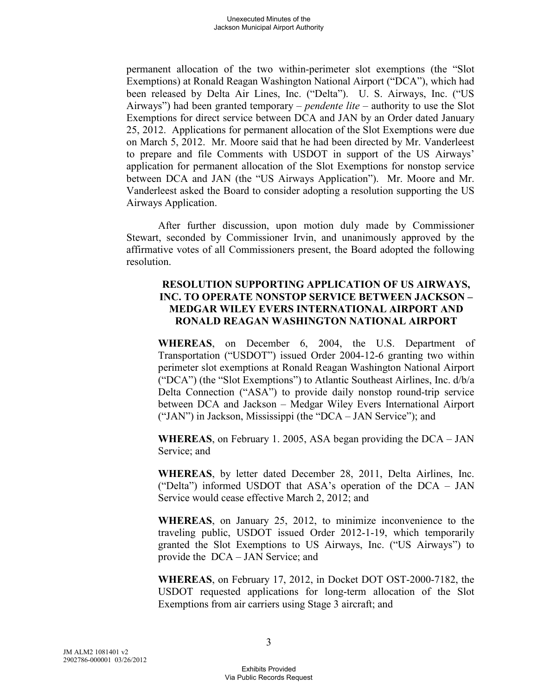permanent allocation of the two within-perimeter slot exemptions (the "Slot Exemptions) at Ronald Reagan Washington National Airport ("DCA"), which had been released by Delta Air Lines, Inc. ("Delta"). U. S. Airways, Inc. ("US Airways") had been granted temporary – *pendente lite* – authority to use the Slot Exemptions for direct service between DCA and JAN by an Order dated January 25, 2012. Applications for permanent allocation of the Slot Exemptions were due on March 5, 2012. Mr. Moore said that he had been directed by Mr. Vanderleest to prepare and file Comments with USDOT in support of the US Airways' application for permanent allocation of the Slot Exemptions for nonstop service between DCA and JAN (the "US Airways Application"). Mr. Moore and Mr. Vanderleest asked the Board to consider adopting a resolution supporting the US Airways Application.

After further discussion, upon motion duly made by Commissioner Stewart, seconded by Commissioner Irvin, and unanimously approved by the affirmative votes of all Commissioners present, the Board adopted the following resolution.

## **RESOLUTION SUPPORTING APPLICATION OF US AIRWAYS, INC. TO OPERATE NONSTOP SERVICE BETWEEN JACKSON – MEDGAR WILEY EVERS INTERNATIONAL AIRPORT AND RONALD REAGAN WASHINGTON NATIONAL AIRPORT**

**WHEREAS**, on December 6, 2004, the U.S. Department of Transportation ("USDOT") issued Order 2004-12-6 granting two within perimeter slot exemptions at Ronald Reagan Washington National Airport ("DCA") (the "Slot Exemptions") to Atlantic Southeast Airlines, Inc. d/b/a Delta Connection ("ASA") to provide daily nonstop round-trip service between DCA and Jackson – Medgar Wiley Evers International Airport ("JAN") in Jackson, Mississippi (the "DCA – JAN Service"); and

**WHEREAS**, on February 1. 2005, ASA began providing the DCA – JAN Service; and

**WHEREAS**, by letter dated December 28, 2011, Delta Airlines, Inc. ("Delta") informed USDOT that ASA's operation of the DCA – JAN Service would cease effective March 2, 2012; and

**WHEREAS**, on January 25, 2012, to minimize inconvenience to the traveling public, USDOT issued Order 2012-1-19, which temporarily granted the Slot Exemptions to US Airways, Inc. ("US Airways") to provide the DCA – JAN Service; and

**WHEREAS**, on February 17, 2012, in Docket DOT OST-2000-7182, the USDOT requested applications for long-term allocation of the Slot Exemptions from air carriers using Stage 3 aircraft; and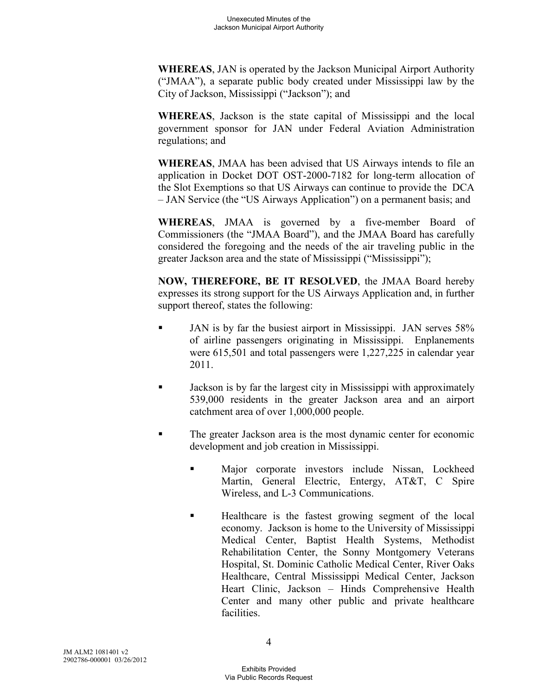**WHEREAS**, JAN is operated by the Jackson Municipal Airport Authority ("JMAA"), a separate public body created under Mississippi law by the City of Jackson, Mississippi ("Jackson"); and

**WHEREAS**, Jackson is the state capital of Mississippi and the local government sponsor for JAN under Federal Aviation Administration regulations; and

**WHEREAS**, JMAA has been advised that US Airways intends to file an application in Docket DOT OST-2000-7182 for long-term allocation of the Slot Exemptions so that US Airways can continue to provide the DCA – JAN Service (the "US Airways Application") on a permanent basis; and

**WHEREAS**, JMAA is governed by a five-member Board of Commissioners (the "JMAA Board"), and the JMAA Board has carefully considered the foregoing and the needs of the air traveling public in the greater Jackson area and the state of Mississippi ("Mississippi");

**NOW, THEREFORE, BE IT RESOLVED**, the JMAA Board hereby expresses its strong support for the US Airways Application and, in further support thereof, states the following:

- JAN is by far the busiest airport in Mississippi. JAN serves 58% of airline passengers originating in Mississippi. Enplanements were 615,501 and total passengers were 1,227,225 in calendar year 2011.
- Jackson is by far the largest city in Mississippi with approximately 539,000 residents in the greater Jackson area and an airport catchment area of over 1,000,000 people.
- The greater Jackson area is the most dynamic center for economic development and job creation in Mississippi.
	- Major corporate investors include Nissan, Lockheed Martin, General Electric, Entergy, AT&T, C Spire Wireless, and L-3 Communications.
	- Healthcare is the fastest growing segment of the local economy. Jackson is home to the University of Mississippi Medical Center, Baptist Health Systems, Methodist Rehabilitation Center, the Sonny Montgomery Veterans Hospital, St. Dominic Catholic Medical Center, River Oaks Healthcare, Central Mississippi Medical Center, Jackson Heart Clinic, Jackson – Hinds Comprehensive Health Center and many other public and private healthcare **facilities**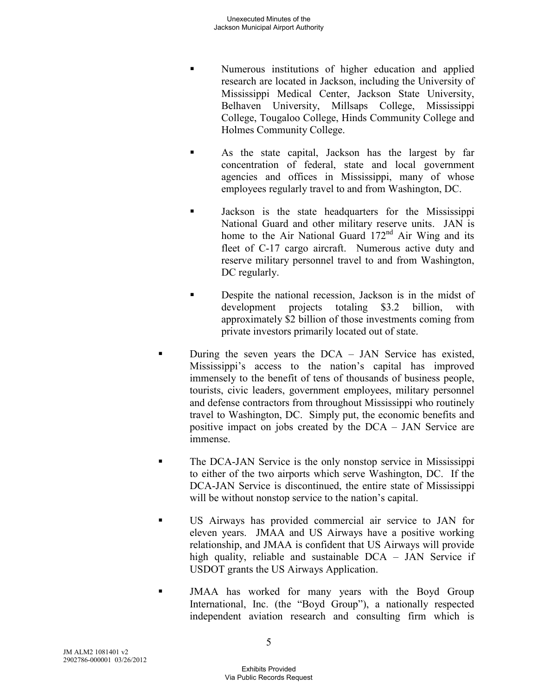- Numerous institutions of higher education and applied research are located in Jackson, including the University of Mississippi Medical Center, Jackson State University, Belhaven University, Millsaps College, Mississippi College, Tougaloo College, Hinds Community College and Holmes Community College.
- As the state capital, Jackson has the largest by far concentration of federal, state and local government agencies and offices in Mississippi, many of whose employees regularly travel to and from Washington, DC.
- Jackson is the state headquarters for the Mississippi National Guard and other military reserve units. JAN is home to the Air National Guard  $172<sup>nd</sup>$  Air Wing and its fleet of C-17 cargo aircraft. Numerous active duty and reserve military personnel travel to and from Washington, DC regularly.
- Despite the national recession, Jackson is in the midst of development projects totaling \$3.2 billion, with approximately \$2 billion of those investments coming from private investors primarily located out of state.
- During the seven years the DCA JAN Service has existed, Mississippi's access to the nation's capital has improved immensely to the benefit of tens of thousands of business people, tourists, civic leaders, government employees, military personnel and defense contractors from throughout Mississippi who routinely travel to Washington, DC. Simply put, the economic benefits and positive impact on jobs created by the DCA – JAN Service are immense.
- **The DCA-JAN Service is the only nonstop service in Mississippi** to either of the two airports which serve Washington, DC. If the DCA-JAN Service is discontinued, the entire state of Mississippi will be without nonstop service to the nation's capital.
- US Airways has provided commercial air service to JAN for eleven years. JMAA and US Airways have a positive working relationship, and JMAA is confident that US Airways will provide high quality, reliable and sustainable DCA – JAN Service if USDOT grants the US Airways Application.
- JMAA has worked for many years with the Boyd Group International, Inc. (the "Boyd Group"), a nationally respected independent aviation research and consulting firm which is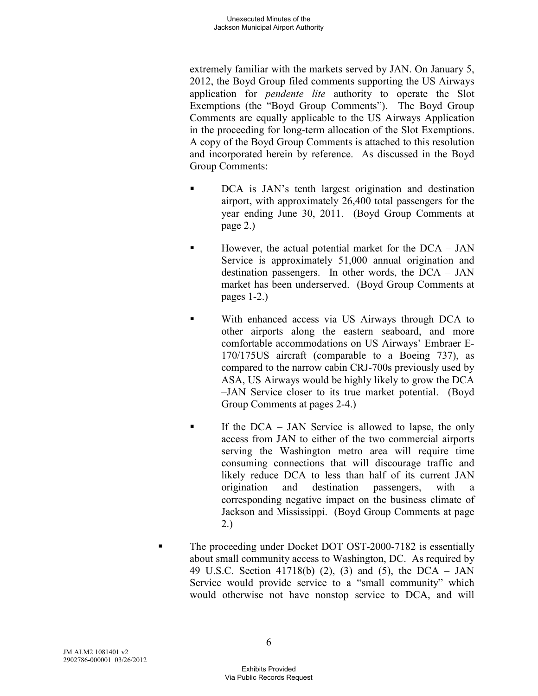extremely familiar with the markets served by JAN. On January 5, 2012, the Boyd Group filed comments supporting the US Airways application for *pendente lite* authority to operate the Slot Exemptions (the "Boyd Group Comments"). The Boyd Group Comments are equally applicable to the US Airways Application in the proceeding for long-term allocation of the Slot Exemptions. A copy of the Boyd Group Comments is attached to this resolution and incorporated herein by reference. As discussed in the Boyd Group Comments:

- DCA is JAN's tenth largest origination and destination airport, with approximately 26,400 total passengers for the year ending June 30, 2011. (Boyd Group Comments at page 2.)
- However, the actual potential market for the DCA JAN Service is approximately 51,000 annual origination and destination passengers. In other words, the DCA – JAN market has been underserved. (Boyd Group Comments at pages 1-2.)
- With enhanced access via US Airways through DCA to other airports along the eastern seaboard, and more comfortable accommodations on US Airways' Embraer E-170/175US aircraft (comparable to a Boeing 737), as compared to the narrow cabin CRJ-700s previously used by ASA, US Airways would be highly likely to grow the DCA –JAN Service closer to its true market potential. (Boyd Group Comments at pages 2-4.)
- If the  $DCA JAN$  Service is allowed to lapse, the only access from JAN to either of the two commercial airports serving the Washington metro area will require time consuming connections that will discourage traffic and likely reduce DCA to less than half of its current JAN origination and destination passengers, with a corresponding negative impact on the business climate of Jackson and Mississippi. (Boyd Group Comments at page 2.)
- The proceeding under Docket DOT OST-2000-7182 is essentially about small community access to Washington, DC. As required by 49 U.S.C. Section 41718(b) (2), (3) and (5), the DCA – JAN Service would provide service to a "small community" which would otherwise not have nonstop service to DCA, and will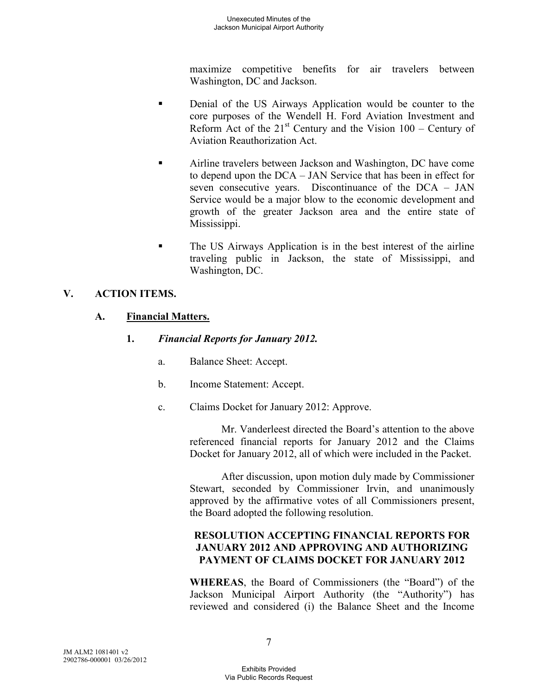maximize competitive benefits for air travelers between Washington, DC and Jackson.

- Denial of the US Airways Application would be counter to the core purposes of the Wendell H. Ford Aviation Investment and Reform Act of the  $21<sup>st</sup>$  Century and the Vision  $100$  – Century of Aviation Reauthorization Act.
- Airline travelers between Jackson and Washington, DC have come to depend upon the DCA – JAN Service that has been in effect for seven consecutive years. Discontinuance of the DCA – JAN Service would be a major blow to the economic development and growth of the greater Jackson area and the entire state of Mississippi.
- The US Airways Application is in the best interest of the airline traveling public in Jackson, the state of Mississippi, and Washington, DC.

# **V. ACTION ITEMS.**

## **A. Financial Matters.**

- **1.** *Financial Reports for January 2012.* 
	- a. Balance Sheet: Accept.
	- b. Income Statement: Accept.
	- c. Claims Docket for January 2012: Approve.

Mr. Vanderleest directed the Board's attention to the above referenced financial reports for January 2012 and the Claims Docket for January 2012, all of which were included in the Packet.

After discussion, upon motion duly made by Commissioner Stewart, seconded by Commissioner Irvin, and unanimously approved by the affirmative votes of all Commissioners present, the Board adopted the following resolution.

# **RESOLUTION ACCEPTING FINANCIAL REPORTS FOR JANUARY 2012 AND APPROVING AND AUTHORIZING PAYMENT OF CLAIMS DOCKET FOR JANUARY 2012**

**WHEREAS**, the Board of Commissioners (the "Board") of the Jackson Municipal Airport Authority (the "Authority") has reviewed and considered (i) the Balance Sheet and the Income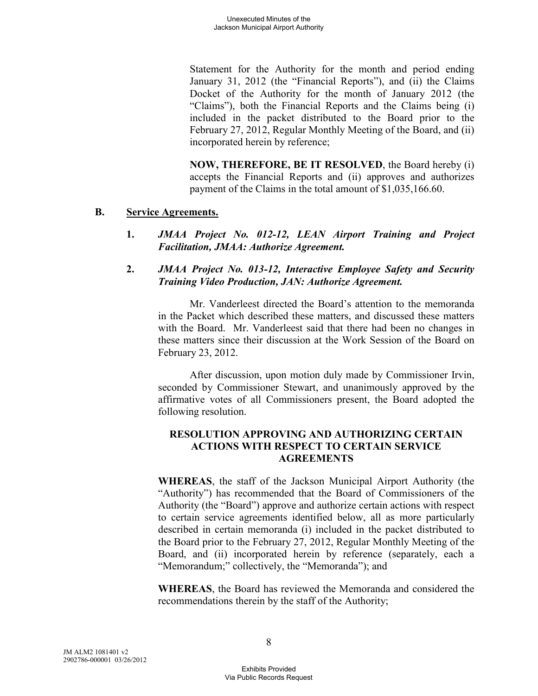Statement for the Authority for the month and period ending January 31, 2012 (the "Financial Reports"), and (ii) the Claims Docket of the Authority for the month of January 2012 (the "Claims"), both the Financial Reports and the Claims being (i) included in the packet distributed to the Board prior to the February 27, 2012, Regular Monthly Meeting of the Board, and (ii) incorporated herein by reference;

**NOW, THEREFORE, BE IT RESOLVED**, the Board hereby (i) accepts the Financial Reports and (ii) approves and authorizes payment of the Claims in the total amount of \$1,035,166.60.

### **B. Service Agreements.**

- **1.** *JMAA Project No. 012-12, LEAN Airport Training and Project Facilitation, JMAA: Authorize Agreement.*
- **2.** *JMAA Project No. 013-12, Interactive Employee Safety and Security Training Video Production, JAN: Authorize Agreement.*

Mr. Vanderleest directed the Board's attention to the memoranda in the Packet which described these matters, and discussed these matters with the Board. Mr. Vanderleest said that there had been no changes in these matters since their discussion at the Work Session of the Board on February 23, 2012.

After discussion, upon motion duly made by Commissioner Irvin, seconded by Commissioner Stewart, and unanimously approved by the affirmative votes of all Commissioners present, the Board adopted the following resolution.

# **RESOLUTION APPROVING AND AUTHORIZING CERTAIN ACTIONS WITH RESPECT TO CERTAIN SERVICE AGREEMENTS**

**WHEREAS**, the staff of the Jackson Municipal Airport Authority (the "Authority") has recommended that the Board of Commissioners of the Authority (the "Board") approve and authorize certain actions with respect to certain service agreements identified below, all as more particularly described in certain memoranda (i) included in the packet distributed to the Board prior to the February 27, 2012, Regular Monthly Meeting of the Board, and (ii) incorporated herein by reference (separately, each a "Memorandum;" collectively, the "Memoranda"); and

**WHEREAS**, the Board has reviewed the Memoranda and considered the recommendations therein by the staff of the Authority;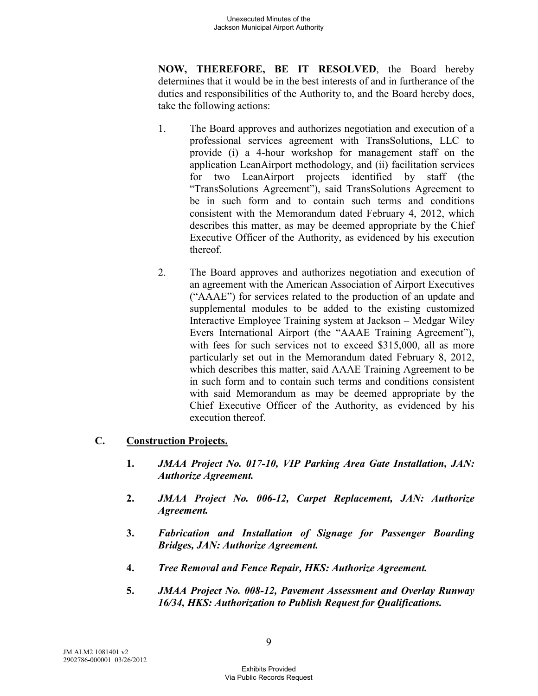**NOW, THEREFORE, BE IT RESOLVED**, the Board hereby determines that it would be in the best interests of and in furtherance of the duties and responsibilities of the Authority to, and the Board hereby does, take the following actions:

- 1. The Board approves and authorizes negotiation and execution of a professional services agreement with TransSolutions, LLC to provide (i) a 4-hour workshop for management staff on the application LeanAirport methodology, and (ii) facilitation services for two LeanAirport projects identified by staff (the "TransSolutions Agreement"), said TransSolutions Agreement to be in such form and to contain such terms and conditions consistent with the Memorandum dated February 4, 2012, which describes this matter, as may be deemed appropriate by the Chief Executive Officer of the Authority, as evidenced by his execution thereof.
- 2. The Board approves and authorizes negotiation and execution of an agreement with the American Association of Airport Executives ("AAAE") for services related to the production of an update and supplemental modules to be added to the existing customized Interactive Employee Training system at Jackson – Medgar Wiley Evers International Airport (the "AAAE Training Agreement"), with fees for such services not to exceed \$315,000, all as more particularly set out in the Memorandum dated February 8, 2012, which describes this matter, said AAAE Training Agreement to be in such form and to contain such terms and conditions consistent with said Memorandum as may be deemed appropriate by the Chief Executive Officer of the Authority, as evidenced by his execution thereof.

## **C. Construction Projects.**

- **1.** *JMAA Project No. 017-10, VIP Parking Area Gate Installation, JAN: Authorize Agreement.*
- **2.** *JMAA Project No. 006-12, Carpet Replacement, JAN: Authorize Agreement.*
- **3.** *Fabrication and Installation of Signage for Passenger Boarding Bridges, JAN: Authorize Agreement.*
- **4.** *Tree Removal and Fence Repair, HKS: Authorize Agreement.*
- **5.** *JMAA Project No. 008-12, Pavement Assessment and Overlay Runway 16/34, HKS: Authorization to Publish Request for Qualifications.*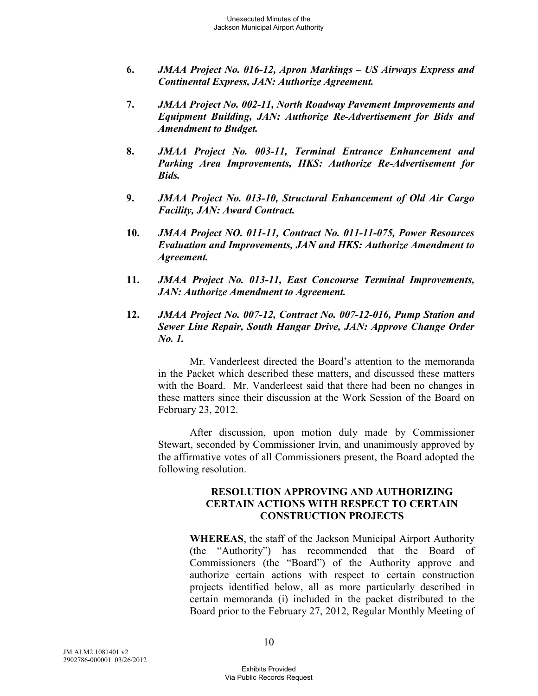- **6.** *JMAA Project No. 016-12, Apron Markings US Airways Express and Continental Express, JAN: Authorize Agreement.*
- **7.** *JMAA Project No. 002-11, North Roadway Pavement Improvements and Equipment Building, JAN: Authorize Re-Advertisement for Bids and Amendment to Budget.*
- **8.** *JMAA Project No. 003-11, Terminal Entrance Enhancement and Parking Area Improvements, HKS: Authorize Re-Advertisement for Bids.*
- **9.** *JMAA Project No. 013-10, Structural Enhancement of Old Air Cargo Facility, JAN: Award Contract.*
- **10.** *JMAA Project NO. 011-11, Contract No. 011-11-075, Power Resources Evaluation and Improvements, JAN and HKS: Authorize Amendment to Agreement.*
- **11.** *JMAA Project No. 013-11, East Concourse Terminal Improvements, JAN: Authorize Amendment to Agreement.*
- **12.** *JMAA Project No. 007-12, Contract No. 007-12-016, Pump Station and Sewer Line Repair, South Hangar Drive, JAN: Approve Change Order No. 1.*

Mr. Vanderleest directed the Board's attention to the memoranda in the Packet which described these matters, and discussed these matters with the Board. Mr. Vanderleest said that there had been no changes in these matters since their discussion at the Work Session of the Board on February 23, 2012.

After discussion, upon motion duly made by Commissioner Stewart, seconded by Commissioner Irvin, and unanimously approved by the affirmative votes of all Commissioners present, the Board adopted the following resolution.

#### **RESOLUTION APPROVING AND AUTHORIZING CERTAIN ACTIONS WITH RESPECT TO CERTAIN CONSTRUCTION PROJECTS**

**WHEREAS**, the staff of the Jackson Municipal Airport Authority (the "Authority") has recommended that the Board of Commissioners (the "Board") of the Authority approve and authorize certain actions with respect to certain construction projects identified below, all as more particularly described in certain memoranda (i) included in the packet distributed to the Board prior to the February 27, 2012, Regular Monthly Meeting of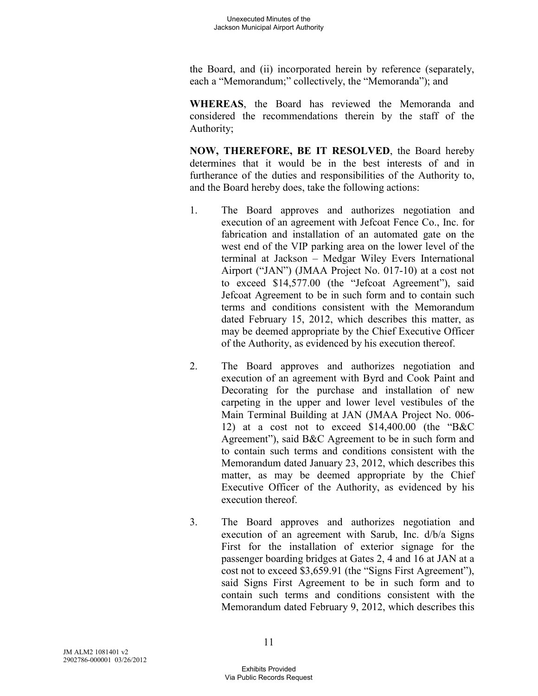the Board, and (ii) incorporated herein by reference (separately, each a "Memorandum;" collectively, the "Memoranda"); and

**WHEREAS**, the Board has reviewed the Memoranda and considered the recommendations therein by the staff of the Authority;

**NOW, THEREFORE, BE IT RESOLVED**, the Board hereby determines that it would be in the best interests of and in furtherance of the duties and responsibilities of the Authority to, and the Board hereby does, take the following actions:

- 1. The Board approves and authorizes negotiation and execution of an agreement with Jefcoat Fence Co., Inc. for fabrication and installation of an automated gate on the west end of the VIP parking area on the lower level of the terminal at Jackson – Medgar Wiley Evers International Airport ("JAN") (JMAA Project No. 017-10) at a cost not to exceed \$14,577.00 (the "Jefcoat Agreement"), said Jefcoat Agreement to be in such form and to contain such terms and conditions consistent with the Memorandum dated February 15, 2012, which describes this matter, as may be deemed appropriate by the Chief Executive Officer of the Authority, as evidenced by his execution thereof.
- 2. The Board approves and authorizes negotiation and execution of an agreement with Byrd and Cook Paint and Decorating for the purchase and installation of new carpeting in the upper and lower level vestibules of the Main Terminal Building at JAN (JMAA Project No. 006- 12) at a cost not to exceed \$14,400.00 (the "B&C Agreement"), said B&C Agreement to be in such form and to contain such terms and conditions consistent with the Memorandum dated January 23, 2012, which describes this matter, as may be deemed appropriate by the Chief Executive Officer of the Authority, as evidenced by his execution thereof.
- 3. The Board approves and authorizes negotiation and execution of an agreement with Sarub, Inc. d/b/a Signs First for the installation of exterior signage for the passenger boarding bridges at Gates 2, 4 and 16 at JAN at a cost not to exceed \$3,659.91 (the "Signs First Agreement"), said Signs First Agreement to be in such form and to contain such terms and conditions consistent with the Memorandum dated February 9, 2012, which describes this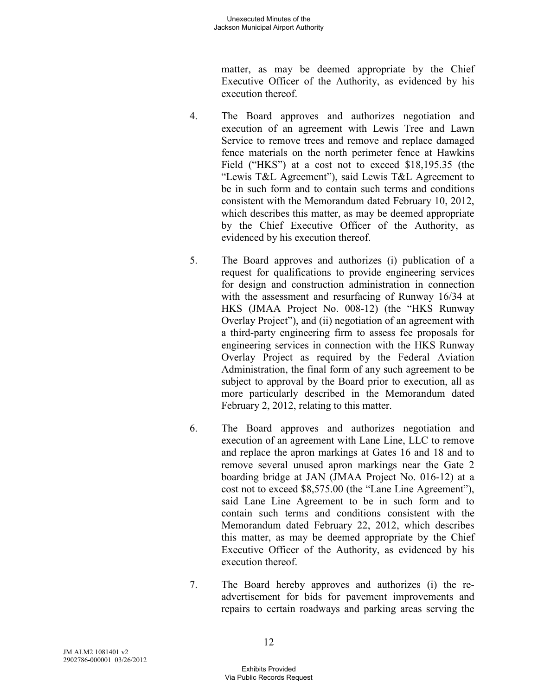matter, as may be deemed appropriate by the Chief Executive Officer of the Authority, as evidenced by his execution thereof.

- 4. The Board approves and authorizes negotiation and execution of an agreement with Lewis Tree and Lawn Service to remove trees and remove and replace damaged fence materials on the north perimeter fence at Hawkins Field ("HKS") at a cost not to exceed \$18,195.35 (the "Lewis T&L Agreement"), said Lewis T&L Agreement to be in such form and to contain such terms and conditions consistent with the Memorandum dated February 10, 2012, which describes this matter, as may be deemed appropriate by the Chief Executive Officer of the Authority, as evidenced by his execution thereof.
- 5. The Board approves and authorizes (i) publication of a request for qualifications to provide engineering services for design and construction administration in connection with the assessment and resurfacing of Runway 16/34 at HKS (JMAA Project No. 008-12) (the "HKS Runway Overlay Project"), and (ii) negotiation of an agreement with a third-party engineering firm to assess fee proposals for engineering services in connection with the HKS Runway Overlay Project as required by the Federal Aviation Administration, the final form of any such agreement to be subject to approval by the Board prior to execution, all as more particularly described in the Memorandum dated February 2, 2012, relating to this matter.
- 6. The Board approves and authorizes negotiation and execution of an agreement with Lane Line, LLC to remove and replace the apron markings at Gates 16 and 18 and to remove several unused apron markings near the Gate 2 boarding bridge at JAN (JMAA Project No. 016-12) at a cost not to exceed \$8,575.00 (the "Lane Line Agreement"), said Lane Line Agreement to be in such form and to contain such terms and conditions consistent with the Memorandum dated February 22, 2012, which describes this matter, as may be deemed appropriate by the Chief Executive Officer of the Authority, as evidenced by his execution thereof.
- 7. The Board hereby approves and authorizes (i) the readvertisement for bids for pavement improvements and repairs to certain roadways and parking areas serving the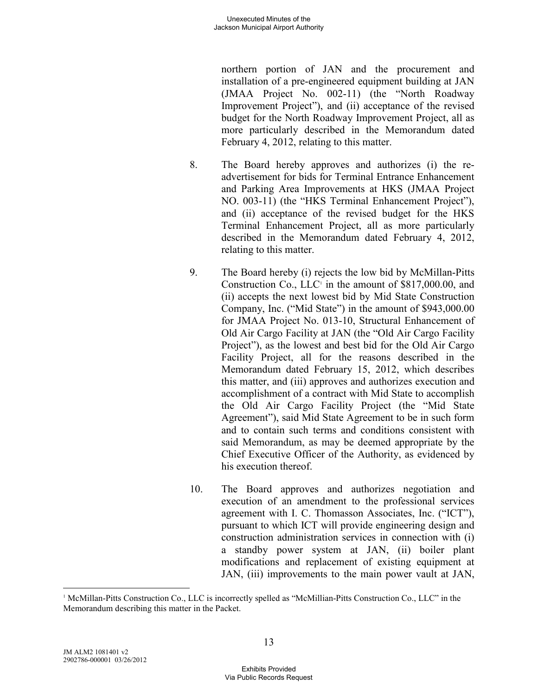northern portion of JAN and the procurement and installation of a pre-engineered equipment building at JAN (JMAA Project No. 002-11) (the "North Roadway Improvement Project"), and (ii) acceptance of the revised budget for the North Roadway Improvement Project, all as more particularly described in the Memorandum dated February 4, 2012, relating to this matter.

- 8. The Board hereby approves and authorizes (i) the readvertisement for bids for Terminal Entrance Enhancement and Parking Area Improvements at HKS (JMAA Project NO. 003-11) (the "HKS Terminal Enhancement Project"), and (ii) acceptance of the revised budget for the HKS Terminal Enhancement Project, all as more particularly described in the Memorandum dated February 4, 2012, relating to this matter.
- 9. The Board hereby (i) rejects the low bid by McMillan-Pitts Construction Co.,  $LLC<sup>T</sup>$  in the amount of \$817,000.00, and (ii) accepts the next lowest bid by Mid State Construction Company, Inc. ("Mid State") in the amount of \$943,000.00 for JMAA Project No. 013-10, Structural Enhancement of Old Air Cargo Facility at JAN (the "Old Air Cargo Facility Project"), as the lowest and best bid for the Old Air Cargo Facility Project, all for the reasons described in the Memorandum dated February 15, 2012, which describes this matter, and (iii) approves and authorizes execution and accomplishment of a contract with Mid State to accomplish the Old Air Cargo Facility Project (the "Mid State Agreement"), said Mid State Agreement to be in such form and to contain such terms and conditions consistent with said Memorandum, as may be deemed appropriate by the Chief Executive Officer of the Authority, as evidenced by his execution thereof
- 10. The Board approves and authorizes negotiation and execution of an amendment to the professional services agreement with I. C. Thomasson Associates, Inc. ("ICT"), pursuant to which ICT will provide engineering design and construction administration services in connection with (i) a standby power system at JAN, (ii) boiler plant modifications and replacement of existing equipment at JAN, (iii) improvements to the main power vault at JAN,

-

<sup>1</sup> McMillan-Pitts Construction Co., LLC is incorrectly spelled as "McMillian-Pitts Construction Co., LLC" in the Memorandum describing this matter in the Packet.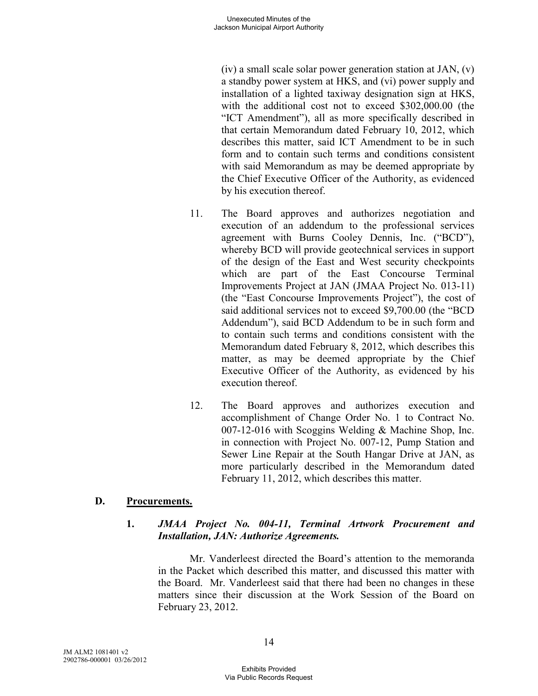(iv) a small scale solar power generation station at JAN, (v) a standby power system at HKS, and (vi) power supply and installation of a lighted taxiway designation sign at HKS, with the additional cost not to exceed \$302,000.00 (the "ICT Amendment"), all as more specifically described in that certain Memorandum dated February 10, 2012, which describes this matter, said ICT Amendment to be in such form and to contain such terms and conditions consistent with said Memorandum as may be deemed appropriate by the Chief Executive Officer of the Authority, as evidenced by his execution thereof.

- 11. The Board approves and authorizes negotiation and execution of an addendum to the professional services agreement with Burns Cooley Dennis, Inc. ("BCD"), whereby BCD will provide geotechnical services in support of the design of the East and West security checkpoints which are part of the East Concourse Terminal Improvements Project at JAN (JMAA Project No. 013-11) (the "East Concourse Improvements Project"), the cost of said additional services not to exceed \$9,700.00 (the "BCD Addendum"), said BCD Addendum to be in such form and to contain such terms and conditions consistent with the Memorandum dated February 8, 2012, which describes this matter, as may be deemed appropriate by the Chief Executive Officer of the Authority, as evidenced by his execution thereof.
- 12. The Board approves and authorizes execution and accomplishment of Change Order No. 1 to Contract No. 007-12-016 with Scoggins Welding & Machine Shop, Inc. in connection with Project No. 007-12, Pump Station and Sewer Line Repair at the South Hangar Drive at JAN, as more particularly described in the Memorandum dated February 11, 2012, which describes this matter.

#### **D. Procurements.**

## **1.** *JMAA Project No. 004-11, Terminal Artwork Procurement and Installation, JAN: Authorize Agreements.*

Mr. Vanderleest directed the Board's attention to the memoranda in the Packet which described this matter, and discussed this matter with the Board. Mr. Vanderleest said that there had been no changes in these matters since their discussion at the Work Session of the Board on February 23, 2012.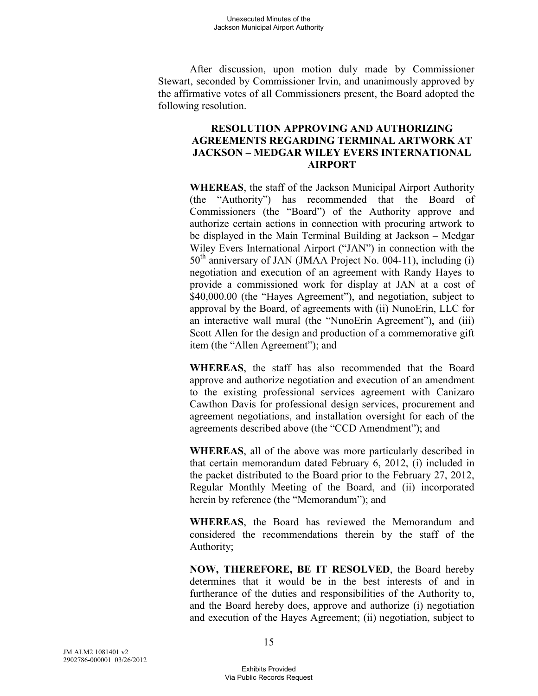After discussion, upon motion duly made by Commissioner Stewart, seconded by Commissioner Irvin, and unanimously approved by the affirmative votes of all Commissioners present, the Board adopted the following resolution.

## **RESOLUTION APPROVING AND AUTHORIZING AGREEMENTS REGARDING TERMINAL ARTWORK AT JACKSON – MEDGAR WILEY EVERS INTERNATIONAL AIRPORT**

**WHEREAS**, the staff of the Jackson Municipal Airport Authority (the "Authority") has recommended that the Board of Commissioners (the "Board") of the Authority approve and authorize certain actions in connection with procuring artwork to be displayed in the Main Terminal Building at Jackson – Medgar Wiley Evers International Airport ("JAN") in connection with the 50<sup>th</sup> anniversary of JAN (JMAA Project No. 004-11), including (i) negotiation and execution of an agreement with Randy Hayes to provide a commissioned work for display at JAN at a cost of \$40,000.00 (the "Hayes Agreement"), and negotiation, subject to approval by the Board, of agreements with (ii) NunoErin, LLC for an interactive wall mural (the "NunoErin Agreement"), and (iii) Scott Allen for the design and production of a commemorative gift item (the "Allen Agreement"); and

**WHEREAS**, the staff has also recommended that the Board approve and authorize negotiation and execution of an amendment to the existing professional services agreement with Canizaro Cawthon Davis for professional design services, procurement and agreement negotiations, and installation oversight for each of the agreements described above (the "CCD Amendment"); and

**WHEREAS**, all of the above was more particularly described in that certain memorandum dated February 6, 2012, (i) included in the packet distributed to the Board prior to the February 27, 2012, Regular Monthly Meeting of the Board, and (ii) incorporated herein by reference (the "Memorandum"); and

**WHEREAS**, the Board has reviewed the Memorandum and considered the recommendations therein by the staff of the Authority;

**NOW, THEREFORE, BE IT RESOLVED**, the Board hereby determines that it would be in the best interests of and in furtherance of the duties and responsibilities of the Authority to, and the Board hereby does, approve and authorize (i) negotiation and execution of the Hayes Agreement; (ii) negotiation, subject to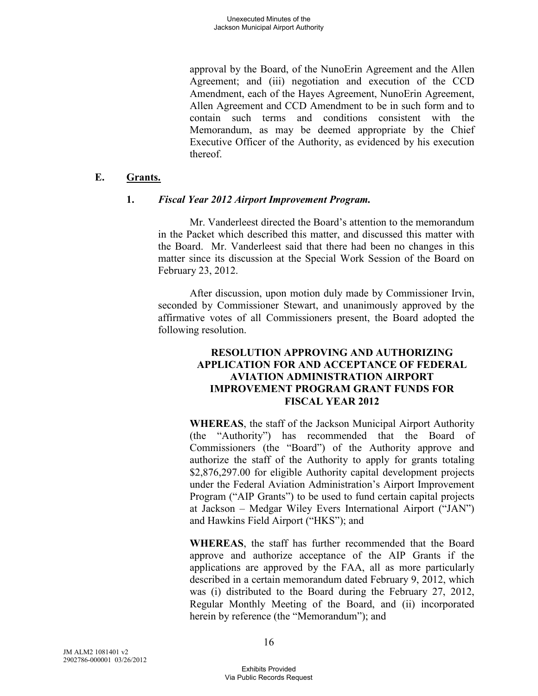approval by the Board, of the NunoErin Agreement and the Allen Agreement; and (iii) negotiation and execution of the CCD Amendment, each of the Hayes Agreement, NunoErin Agreement, Allen Agreement and CCD Amendment to be in such form and to contain such terms and conditions consistent with the Memorandum, as may be deemed appropriate by the Chief Executive Officer of the Authority, as evidenced by his execution thereof.

## **E. Grants.**

### **1.** *Fiscal Year 2012 Airport Improvement Program.*

Mr. Vanderleest directed the Board's attention to the memorandum in the Packet which described this matter, and discussed this matter with the Board. Mr. Vanderleest said that there had been no changes in this matter since its discussion at the Special Work Session of the Board on February 23, 2012.

After discussion, upon motion duly made by Commissioner Irvin, seconded by Commissioner Stewart, and unanimously approved by the affirmative votes of all Commissioners present, the Board adopted the following resolution.

## **RESOLUTION APPROVING AND AUTHORIZING APPLICATION FOR AND ACCEPTANCE OF FEDERAL AVIATION ADMINISTRATION AIRPORT IMPROVEMENT PROGRAM GRANT FUNDS FOR FISCAL YEAR 2012**

**WHEREAS**, the staff of the Jackson Municipal Airport Authority (the "Authority") has recommended that the Board of Commissioners (the "Board") of the Authority approve and authorize the staff of the Authority to apply for grants totaling \$2,876,297.00 for eligible Authority capital development projects under the Federal Aviation Administration's Airport Improvement Program ("AIP Grants") to be used to fund certain capital projects at Jackson – Medgar Wiley Evers International Airport ("JAN") and Hawkins Field Airport ("HKS"); and

**WHEREAS**, the staff has further recommended that the Board approve and authorize acceptance of the AIP Grants if the applications are approved by the FAA, all as more particularly described in a certain memorandum dated February 9, 2012, which was (i) distributed to the Board during the February 27, 2012, Regular Monthly Meeting of the Board, and (ii) incorporated herein by reference (the "Memorandum"); and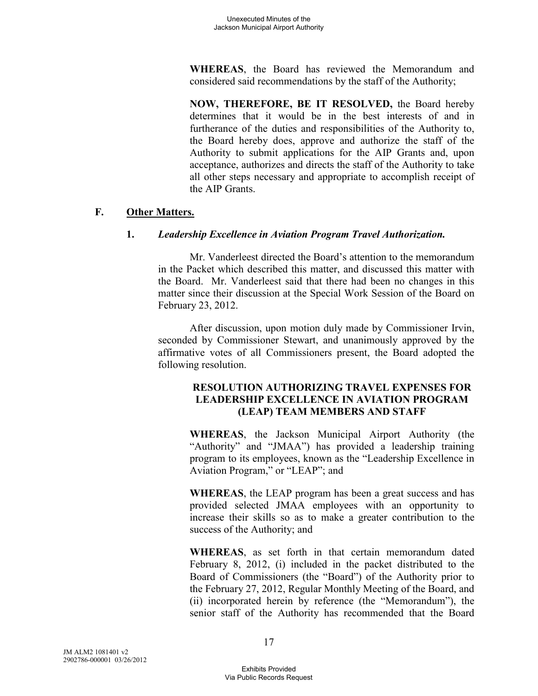**WHEREAS**, the Board has reviewed the Memorandum and considered said recommendations by the staff of the Authority;

**NOW, THEREFORE, BE IT RESOLVED,** the Board hereby determines that it would be in the best interests of and in furtherance of the duties and responsibilities of the Authority to, the Board hereby does, approve and authorize the staff of the Authority to submit applications for the AIP Grants and, upon acceptance, authorizes and directs the staff of the Authority to take all other steps necessary and appropriate to accomplish receipt of the AIP Grants.

## **F. Other Matters.**

# **1.** *Leadership Excellence in Aviation Program Travel Authorization.*

Mr. Vanderleest directed the Board's attention to the memorandum in the Packet which described this matter, and discussed this matter with the Board. Mr. Vanderleest said that there had been no changes in this matter since their discussion at the Special Work Session of the Board on February 23, 2012.

After discussion, upon motion duly made by Commissioner Irvin, seconded by Commissioner Stewart, and unanimously approved by the affirmative votes of all Commissioners present, the Board adopted the following resolution.

## **RESOLUTION AUTHORIZING TRAVEL EXPENSES FOR LEADERSHIP EXCELLENCE IN AVIATION PROGRAM (LEAP) TEAM MEMBERS AND STAFF**

**WHEREAS**, the Jackson Municipal Airport Authority (the "Authority" and "JMAA") has provided a leadership training program to its employees, known as the "Leadership Excellence in Aviation Program," or "LEAP"; and

**WHEREAS**, the LEAP program has been a great success and has provided selected JMAA employees with an opportunity to increase their skills so as to make a greater contribution to the success of the Authority; and

**WHEREAS**, as set forth in that certain memorandum dated February 8, 2012, (i) included in the packet distributed to the Board of Commissioners (the "Board") of the Authority prior to the February 27, 2012, Regular Monthly Meeting of the Board, and (ii) incorporated herein by reference (the "Memorandum"), the senior staff of the Authority has recommended that the Board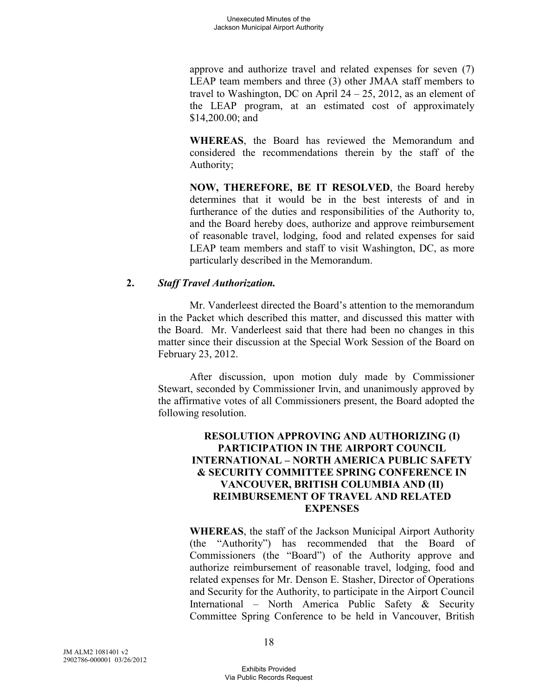approve and authorize travel and related expenses for seven (7) LEAP team members and three (3) other JMAA staff members to travel to Washington, DC on April  $24 - 25$ , 2012, as an element of the LEAP program, at an estimated cost of approximately \$14,200.00; and

**WHEREAS**, the Board has reviewed the Memorandum and considered the recommendations therein by the staff of the Authority;

**NOW, THEREFORE, BE IT RESOLVED**, the Board hereby determines that it would be in the best interests of and in furtherance of the duties and responsibilities of the Authority to, and the Board hereby does, authorize and approve reimbursement of reasonable travel, lodging, food and related expenses for said LEAP team members and staff to visit Washington, DC, as more particularly described in the Memorandum.

### **2.** *Staff Travel Authorization.*

Mr. Vanderleest directed the Board's attention to the memorandum in the Packet which described this matter, and discussed this matter with the Board. Mr. Vanderleest said that there had been no changes in this matter since their discussion at the Special Work Session of the Board on February 23, 2012.

After discussion, upon motion duly made by Commissioner Stewart, seconded by Commissioner Irvin, and unanimously approved by the affirmative votes of all Commissioners present, the Board adopted the following resolution.

## **RESOLUTION APPROVING AND AUTHORIZING (I) PARTICIPATION IN THE AIRPORT COUNCIL INTERNATIONAL – NORTH AMERICA PUBLIC SAFETY & SECURITY COMMITTEE SPRING CONFERENCE IN VANCOUVER, BRITISH COLUMBIA AND (II) REIMBURSEMENT OF TRAVEL AND RELATED EXPENSES**

**WHEREAS**, the staff of the Jackson Municipal Airport Authority (the "Authority") has recommended that the Board of Commissioners (the "Board") of the Authority approve and authorize reimbursement of reasonable travel, lodging, food and related expenses for Mr. Denson E. Stasher, Director of Operations and Security for the Authority, to participate in the Airport Council International – North America Public Safety & Security Committee Spring Conference to be held in Vancouver, British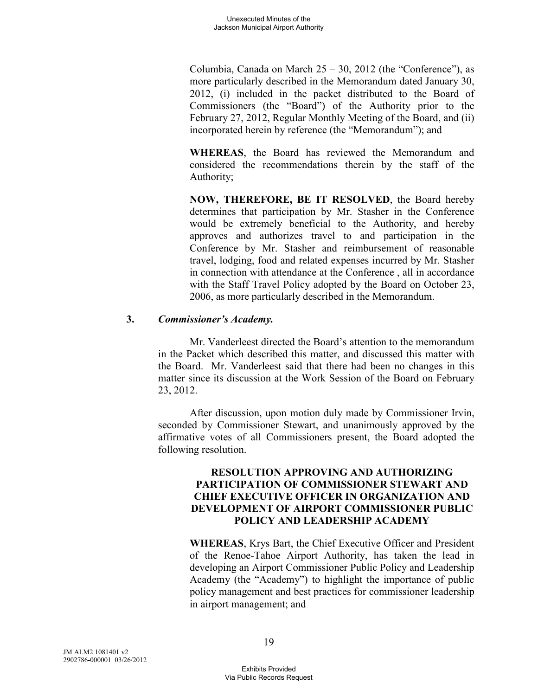Columbia, Canada on March  $25 - 30$ ,  $2012$  (the "Conference"), as more particularly described in the Memorandum dated January 30, 2012, (i) included in the packet distributed to the Board of Commissioners (the "Board") of the Authority prior to the February 27, 2012, Regular Monthly Meeting of the Board, and (ii) incorporated herein by reference (the "Memorandum"); and

**WHEREAS**, the Board has reviewed the Memorandum and considered the recommendations therein by the staff of the Authority;

**NOW, THEREFORE, BE IT RESOLVED**, the Board hereby determines that participation by Mr. Stasher in the Conference would be extremely beneficial to the Authority, and hereby approves and authorizes travel to and participation in the Conference by Mr. Stasher and reimbursement of reasonable travel, lodging, food and related expenses incurred by Mr. Stasher in connection with attendance at the Conference , all in accordance with the Staff Travel Policy adopted by the Board on October 23, 2006, as more particularly described in the Memorandum.

### **3.** *Commissioner's Academy.*

Mr. Vanderleest directed the Board's attention to the memorandum in the Packet which described this matter, and discussed this matter with the Board. Mr. Vanderleest said that there had been no changes in this matter since its discussion at the Work Session of the Board on February 23, 2012.

After discussion, upon motion duly made by Commissioner Irvin, seconded by Commissioner Stewart, and unanimously approved by the affirmative votes of all Commissioners present, the Board adopted the following resolution.

## **RESOLUTION APPROVING AND AUTHORIZING PARTICIPATION OF COMMISSIONER STEWART AND CHIEF EXECUTIVE OFFICER IN ORGANIZATION AND DEVELOPMENT OF AIRPORT COMMISSIONER PUBLIC POLICY AND LEADERSHIP ACADEMY**

**WHEREAS**, Krys Bart, the Chief Executive Officer and President of the Renoe-Tahoe Airport Authority, has taken the lead in developing an Airport Commissioner Public Policy and Leadership Academy (the "Academy") to highlight the importance of public policy management and best practices for commissioner leadership in airport management; and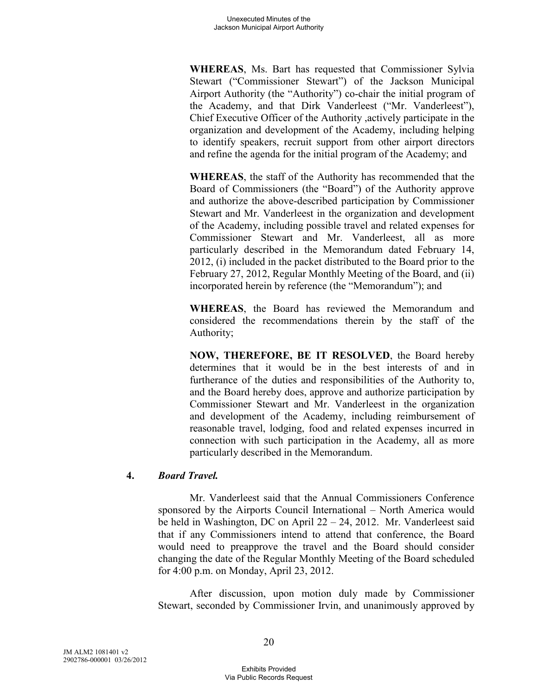**WHEREAS**, Ms. Bart has requested that Commissioner Sylvia Stewart ("Commissioner Stewart") of the Jackson Municipal Airport Authority (the "Authority") co-chair the initial program of the Academy, and that Dirk Vanderleest ("Mr. Vanderleest"), Chief Executive Officer of the Authority ,actively participate in the organization and development of the Academy, including helping to identify speakers, recruit support from other airport directors and refine the agenda for the initial program of the Academy; and

**WHEREAS**, the staff of the Authority has recommended that the Board of Commissioners (the "Board") of the Authority approve and authorize the above-described participation by Commissioner Stewart and Mr. Vanderleest in the organization and development of the Academy, including possible travel and related expenses for Commissioner Stewart and Mr. Vanderleest, all as more particularly described in the Memorandum dated February 14, 2012, (i) included in the packet distributed to the Board prior to the February 27, 2012, Regular Monthly Meeting of the Board, and (ii) incorporated herein by reference (the "Memorandum"); and

**WHEREAS**, the Board has reviewed the Memorandum and considered the recommendations therein by the staff of the Authority;

**NOW, THEREFORE, BE IT RESOLVED**, the Board hereby determines that it would be in the best interests of and in furtherance of the duties and responsibilities of the Authority to, and the Board hereby does, approve and authorize participation by Commissioner Stewart and Mr. Vanderleest in the organization and development of the Academy, including reimbursement of reasonable travel, lodging, food and related expenses incurred in connection with such participation in the Academy, all as more particularly described in the Memorandum.

## **4.** *Board Travel.*

Mr. Vanderleest said that the Annual Commissioners Conference sponsored by the Airports Council International – North America would be held in Washington, DC on April 22 – 24, 2012. Mr. Vanderleest said that if any Commissioners intend to attend that conference, the Board would need to preapprove the travel and the Board should consider changing the date of the Regular Monthly Meeting of the Board scheduled for 4:00 p.m. on Monday, April 23, 2012.

After discussion, upon motion duly made by Commissioner Stewart, seconded by Commissioner Irvin, and unanimously approved by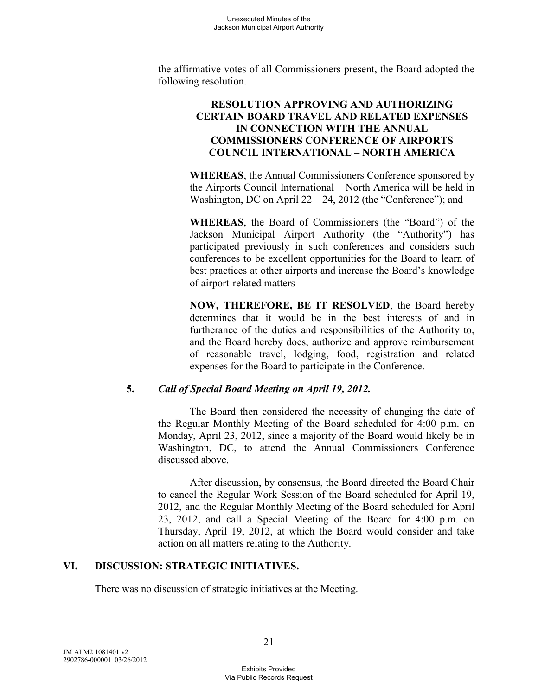the affirmative votes of all Commissioners present, the Board adopted the following resolution.

## **RESOLUTION APPROVING AND AUTHORIZING CERTAIN BOARD TRAVEL AND RELATED EXPENSES IN CONNECTION WITH THE ANNUAL COMMISSIONERS CONFERENCE OF AIRPORTS COUNCIL INTERNATIONAL – NORTH AMERICA**

**WHEREAS**, the Annual Commissioners Conference sponsored by the Airports Council International – North America will be held in Washington, DC on April 22 – 24, 2012 (the "Conference"); and

**WHEREAS**, the Board of Commissioners (the "Board") of the Jackson Municipal Airport Authority (the "Authority") has participated previously in such conferences and considers such conferences to be excellent opportunities for the Board to learn of best practices at other airports and increase the Board's knowledge of airport-related matters

**NOW, THEREFORE, BE IT RESOLVED**, the Board hereby determines that it would be in the best interests of and in furtherance of the duties and responsibilities of the Authority to, and the Board hereby does, authorize and approve reimbursement of reasonable travel, lodging, food, registration and related expenses for the Board to participate in the Conference.

## **5.** *Call of Special Board Meeting on April 19, 2012.*

The Board then considered the necessity of changing the date of the Regular Monthly Meeting of the Board scheduled for 4:00 p.m. on Monday, April 23, 2012, since a majority of the Board would likely be in Washington, DC, to attend the Annual Commissioners Conference discussed above.

After discussion, by consensus, the Board directed the Board Chair to cancel the Regular Work Session of the Board scheduled for April 19, 2012, and the Regular Monthly Meeting of the Board scheduled for April 23, 2012, and call a Special Meeting of the Board for 4:00 p.m. on Thursday, April 19, 2012, at which the Board would consider and take action on all matters relating to the Authority.

## **VI. DISCUSSION: STRATEGIC INITIATIVES.**

There was no discussion of strategic initiatives at the Meeting.